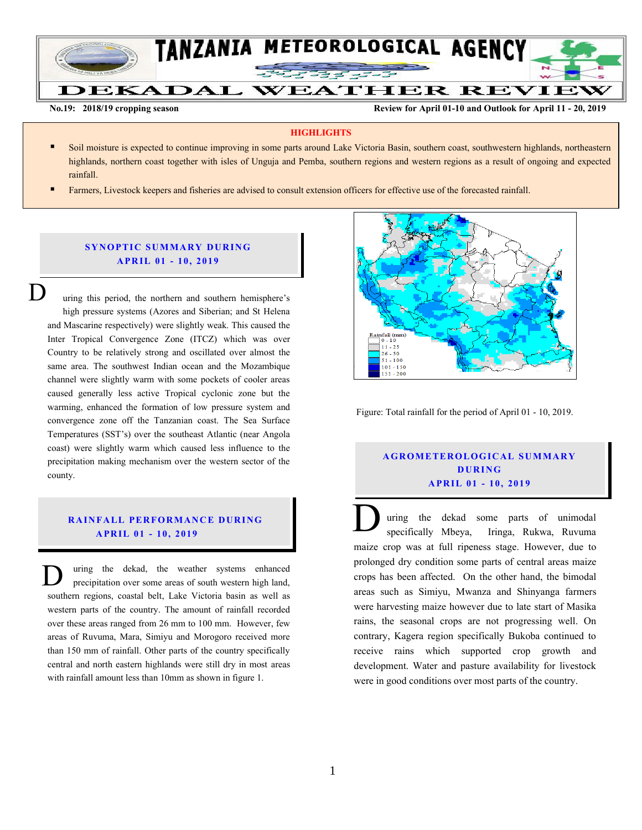

**No.19: 2018/19 cropping season Review for April 01-10 and Outlook for April 11 - 20, 2019** 

#### **HIGHLIGHTS**

- Soil moisture is expected to continue improving in some parts around Lake Victoria Basin, southern coast, southwestern highlands, northeastern highlands, northern coast together with isles of Unguja and Pemba, southern regions and western regions as a result of ongoing and expected rainfall.
- Farmers, Livestock keepers and fisheries are advised to consult extension officers for effective use of the forecasted rainfall.

## **SYNOPTIC SUMMARY DURING A PR IL 01 - 10, 201 9**

uring this period, the northern and southern hemisphere's high pressure systems (Azores and Siberian; and St Helena and Mascarine respectively) were slightly weak. This caused the Inter Tropical Convergence Zone (ITCZ) which was over Country to be relatively strong and oscillated over almost the same area. The southwest Indian ocean and the Mozambique channel were slightly warm with some pockets of cooler areas caused generally less active Tropical cyclonic zone but the warming, enhanced the formation of low pressure system and convergence zone off the Tanzanian coast. The Sea Surface Temperatures (SST's) over the southeast Atlantic (near Angola coast) were slightly warm which caused less influence to the precipitation making mechanism over the western sector of the county.  $\overline{\mathsf{D}}$ 

#### **RAINFALL PERFORMANCE DURING A PR IL 01 - 10, 201 9**

uring the dekad, the weather systems enhanced precipitation over some areas of south western high land, southern regions, coastal belt, Lake Victoria basin as well as western parts of the country. The amount of rainfall recorded over these areas ranged from 26 mm to 100 mm. However, few areas of Ruvuma, Mara, Simiyu and Morogoro received more than 150 mm of rainfall. Other parts of the country specifically central and north eastern highlands were still dry in most areas with rainfall amount less than 10mm as shown in figure 1. D



Figure: Total rainfall for the period of April 01 - 10, 2019.

# **A G RO METER O LO G IC AL SU MMAR Y D UR ING A PR IL 01 - 10, 201 9**

uring the dekad some parts of unimodal specifically Mbeya, Iringa, Rukwa, Ruvuma maize crop was at full ripeness stage. However, due to prolonged dry condition some parts of central areas maize crops has been affected. On the other hand, the bimodal areas such as Simiyu, Mwanza and Shinyanga farmers were harvesting maize however due to late start of Masika rains, the seasonal crops are not progressing well. On contrary, Kagera region specifically Bukoba continued to receive rains which supported crop growth and development. Water and pasture availability for livestock were in good conditions over most parts of the country.  $\overline{\overline{D}}$ maiz<br>prolo